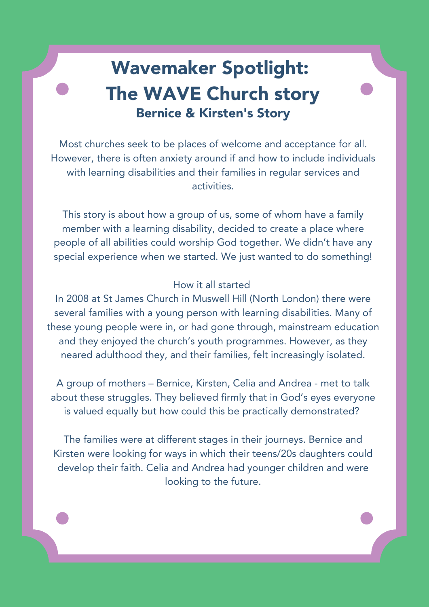### Wavemaker Spotlight: The WAVE Church story Bernice & Kirsten's Story

Most churches seek to be places of welcome and acceptance for all. However, there is often anxiety around if and how to include individuals with learning disabilities and their families in regular services and activities.

This story is about how a group of us, some of whom have a family member with a learning disability, decided to create a place where people of all abilities could worship God together. We didn't have any special experience when we started. We just wanted to do something!

#### How it all started

In 2008 at St James Church in Muswell Hill (North London) there were several families with a young person with learning disabilities. Many of these young people were in, or had gone through, mainstream education and they enjoyed the church's youth programmes. However, as they neared adulthood they, and their families, felt increasingly isolated.

A group of mothers – Bernice, Kirsten, Celia and Andrea - met to talk about these struggles. They believed firmly that in God's eyes everyone is valued equally but how could this be practically demonstrated?

The families were at different stages in their journeys. Bernice and Kirsten were looking for ways in which their teens/20s daughters could develop their faith. Celia and Andrea had younger children and were looking to the future.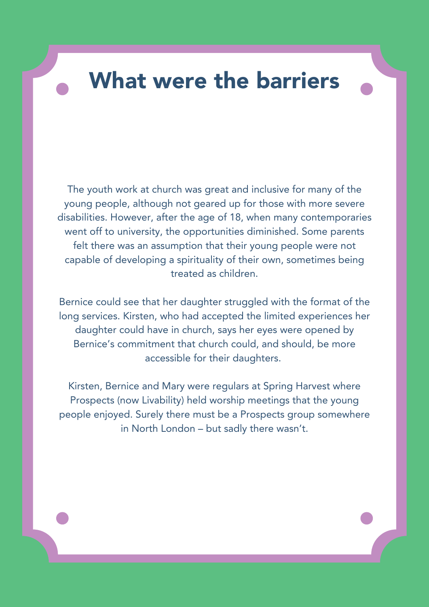## What were the barriers

The youth work at church was great and inclusive for many of the young people, although not geared up for those with more severe disabilities. However, after the age of 18, when many contemporaries went off to university, the opportunities diminished. Some parents felt there was an assumption that their young people were not capable of developing a spirituality of their own, sometimes being treated as children.

Bernice could see that her daughter struggled with the format of the long services. Kirsten, who had accepted the limited experiences her daughter could have in church, says her eyes were opened by Bernice's commitment that church could, and should, be more accessible for their daughters.

Kirsten, Bernice and Mary were regulars at Spring Harvest where Prospects (now Livability) held worship meetings that the young people enjoyed. Surely there must be a Prospects group somewhere in North London – but sadly there wasn't.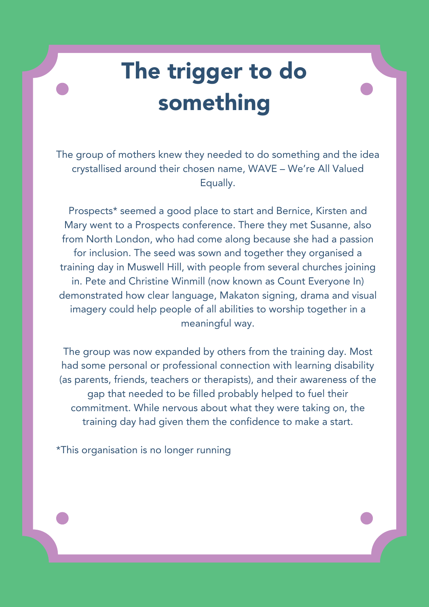# The trigger to do something

The group of mothers knew they needed to do something and the idea crystallised around their chosen name, WAVE – We're All Valued Equally.

Prospects\* seemed a good place to start and Bernice, Kirsten and Mary went to a Prospects conference. There they met Susanne, also from North London, who had come along because she had a passion for inclusion. The seed was sown and together they organised a training day in Muswell Hill, with people from several churches joining in. Pete and Christine Winmill (now known as Count Everyone In) demonstrated how clear language, Makaton signing, drama and visual imagery could help people of all abilities to worship together in a meaningful way.

The group was now expanded by others from the training day. Most had some personal or professional connection with learning disability (as parents, friends, teachers or therapists), and their awareness of the gap that needed to be filled probably helped to fuel their commitment. While nervous about what they were taking on, the training day had given them the confidence to make a start.

\*This organisation is no longer running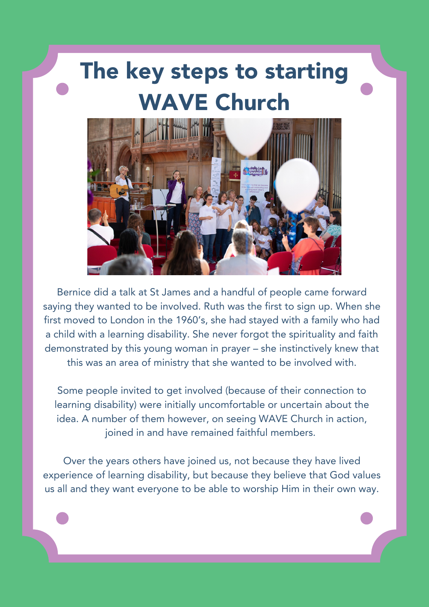## The key steps to starting WAVE Church



Bernice did a talk at St James and a handful of people came forward saying they wanted to be involved. Ruth was the first to sign up. When she first moved to London in the 1960's, she had stayed with a family who had a child with a learning disability. She never forgot the spirituality and faith demonstrated by this young woman in prayer – she instinctively knew that this was an area of ministry that she wanted to be involved with.

Some people invited to get involved (because of their connection to learning disability) were initially uncomfortable or uncertain about the idea. A number of them however, on seeing WAVE Church in action, joined in and have remained faithful members.

Over the years others have joined us, not because they have lived experience of learning disability, but because they believe that God values us all and they want everyone to be able to worship Him in their own way.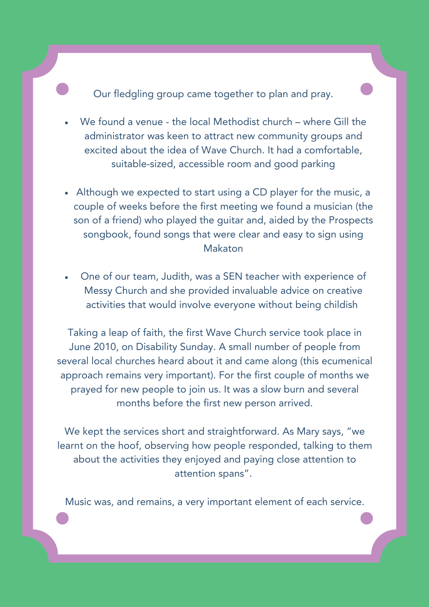Our fledgling group came together to plan and pray.

- We found a venue the local Methodist church where Gill the administrator was keen to attract new community groups and excited about the idea of Wave Church. It had a comfortable, suitable-sized, accessible room and good parking
- Although we expected to start using a CD player for the music, a couple of weeks before the first meeting we found a musician (the son of a friend) who played the guitar and, aided by the Prospects songbook, found songs that were clear and easy to sign using Makaton
- One of our team, Judith, was a SEN teacher with experience of Messy Church and she provided invaluable advice on creative activities that would involve everyone without being childish

Taking a leap of faith, the first Wave Church service took place in June 2010, on Disability Sunday. A small number of people from several local churches heard about it and came along (this ecumenical approach remains very important). For the first couple of months we prayed for new people to join us. It was a slow burn and several months before the first new person arrived.

We kept the services short and straightforward. As Mary says, "we learnt on the hoof, observing how people responded, talking to them about the activities they enjoyed and paying close attention to attention spans".

Music was, and remains, a very important element of each service.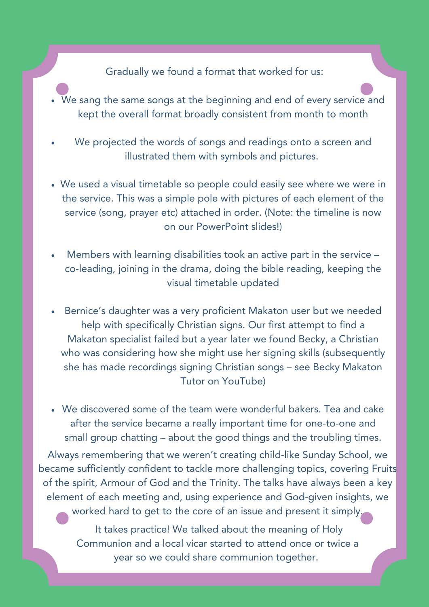#### Gradually we found a format that worked for us:

- We sang the same songs at the beginning and end of every service and kept the overall format broadly consistent from month to month
- We projected the words of songs and readings onto a screen and illustrated them with symbols and pictures.
- We used a visual timetable so people could easily see where we were in the service. This was a simple pole with pictures of each element of the service (song, prayer etc) attached in order. (Note: the timeline is now on our PowerPoint slides!)
- Members with learning disabilities took an active part in the service co-leading, joining in the drama, doing the bible reading, keeping the visual timetable updated
- Bernice's daughter was a very proficient Makaton user but we needed help with specifically Christian signs. Our first attempt to find a Makaton specialist failed but a year later we found Becky, a Christian who was considering how she might use her signing skills (subsequently she has made recordings signing Christian songs – see Becky Makaton Tutor on YouTube)
- We discovered some of the team were wonderful bakers. Tea and cake after the service became a really important time for one-to-one and small group chatting – about the good things and the troubling times.

Always remembering that we weren't creating child-like Sunday School, we became sufficiently confident to tackle more challenging topics, covering Fruits of the spirit, Armour of God and the Trinity. The talks have always been a key element of each meeting and, using experience and God-given insights, we worked hard to get to the core of an issue and present it simply.

> It takes practice! We talked about the meaning of Holy Communion and a local vicar started to attend once or twice a year so we could share communion together.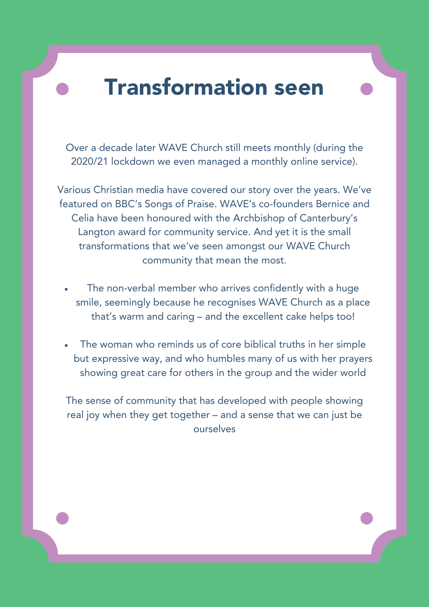### Transformation seen

Over a decade later WAVE Church still meets monthly (during the 2020/21 lockdown we even managed a monthly online service).

Various Christian media have covered our story over the years. We've featured on BBC's Songs of Praise. WAVE's co-founders Bernice and Celia have been honoured with the Archbishop of Canterbury's Langton award for community service. And yet it is the small transformations that we've seen amongst our WAVE Church community that mean the most.

- The non-verbal member who arrives confidently with a huge smile, seemingly because he recognises WAVE Church as a place that's warm and caring – and the excellent cake helps too!
- The woman who reminds us of core biblical truths in her simple but expressive way, and who humbles many of us with her prayers showing great care for others in the group and the wider world

The sense of community that has developed with people showing real joy when they get together – and a sense that we can just be ourselves